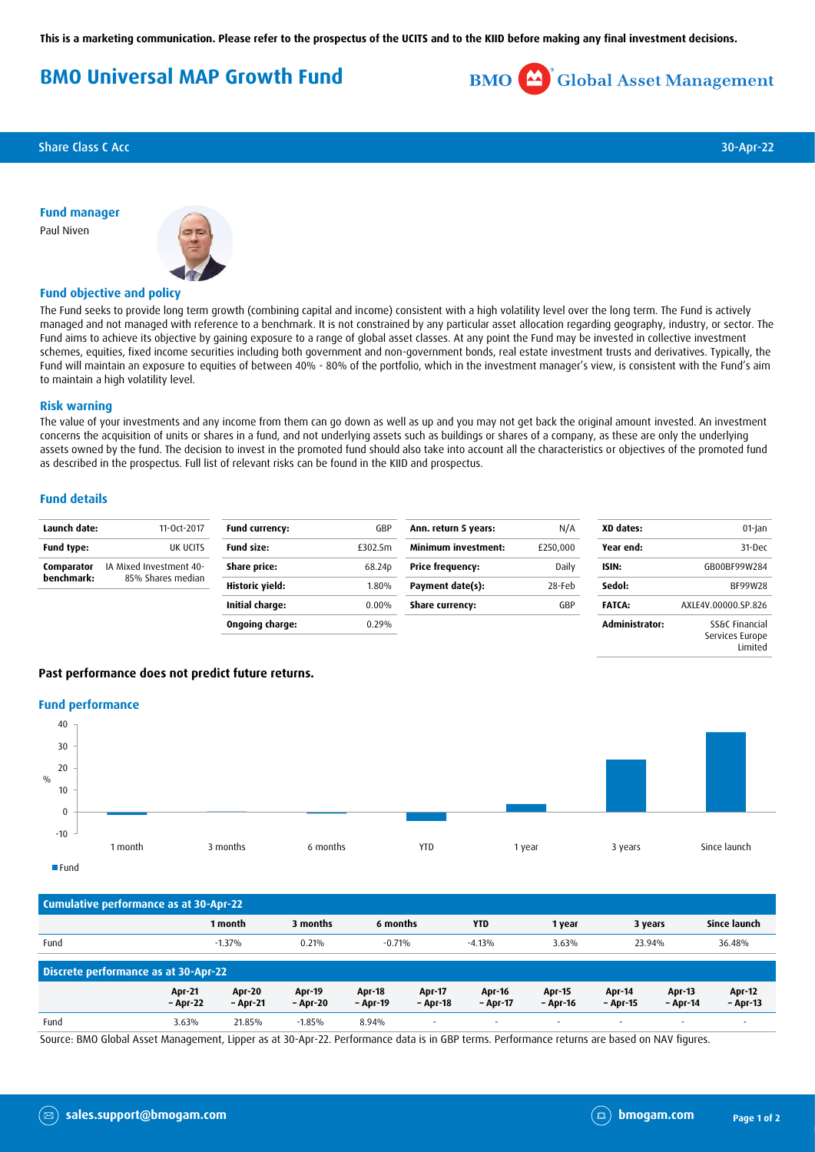**This is a marketing communication. Please refer to the prospectus of the UCITS and to the KIID before making any final investment decisions.**

# **BMO Universal MAP Growth Fund**



**Share Class C Acc** 30-Apr-22

**Fund manager** Paul Niven



# **Fund objective and policy**

The Fund seeks to provide long term growth (combining capital and income) consistent with a high volatility level over the long term. The Fund is actively managed and not managed with reference to a benchmark. It is not constrained by any particular asset allocation regarding geography, industry, or sector. The Fund aims to achieve its objective by gaining exposure to a range of global asset classes. At any point the Fund may be invested in collective investment schemes, equities, fixed income securities including both government and non-government bonds, real estate investment trusts and derivatives. Typically, the Fund will maintain an exposure to equities of between 40% - 80% of the portfolio, which in the investment manager's view, is consistent with the Fund's aim to maintain a high volatility level.

### **Risk warning**

The value of your investments and any income from them can go down as well as up and you may not get back the original amount invested. An investment concerns the acquisition of units or shares in a fund, and not underlying assets such as buildings or shares of a company, as these are only the underlying assets owned by the fund. The decision to invest in the promoted fund should also take into account all the characteristics or objectives of the promoted fund as described in the prospectus. Full list of relevant risks can be found in the KIID and prospectus.

### **Fund details**

| Launch date:             | 11-Oct-2017                                  | Fund currency:    | GBP      | Ann. return 5 years:    | N/A      | XD dates:      | 01-Jan                            |
|--------------------------|----------------------------------------------|-------------------|----------|-------------------------|----------|----------------|-----------------------------------|
| <b>Fund type:</b>        | UK UCITS                                     | <b>Fund size:</b> | £302.5m  | Minimum investment:     | £250,000 | Year end:      | 31-Dec                            |
| Comparator<br>benchmark: | IA Mixed Investment 40-<br>85% Shares median | Share price:      | 68.24p   | <b>Price frequency:</b> | Daily    | ISIN:          | GB00BF99W284                      |
|                          |                                              | Historic yield:   | 1.80%    | Payment date(s):        | 28-Feb   | Sedol:         | BF99W28                           |
|                          |                                              | Initial charge:   | $0.00\%$ | Share currency:         | GBP      | <b>FATCA:</b>  | AXLE4V.00000.SP.826               |
|                          |                                              | Ongoing charge:   | 0.29%    |                         |          | Administrator: | SS&C Financial<br>Services Europe |

# **Past performance does not predict future returns.**

### **Fund performance**



| Cumulative performance as at 30-Apr-22 |                           |                           |                           |                           |                           |                          |                           |                          |                           |                             |
|----------------------------------------|---------------------------|---------------------------|---------------------------|---------------------------|---------------------------|--------------------------|---------------------------|--------------------------|---------------------------|-----------------------------|
|                                        |                           | 1 month                   | 3 months                  | 6 months                  |                           | <b>YTD</b>               | 1 year                    | 3 years                  |                           | Since launch                |
| Fund                                   |                           | $-1.37%$                  | 0.21%                     | $-0.71%$                  |                           | $-4.13%$                 | 3.63%                     | 23.94%                   |                           | 36.48%                      |
| Discrete performance as at 30-Apr-22   |                           |                           |                           |                           |                           |                          |                           |                          |                           |                             |
|                                        | <b>Apr-21</b><br>- Apr-22 | <b>Apr-20</b><br>- Apr-21 | <b>Apr-19</b><br>– Apr-20 | <b>Apr-18</b><br>- Apr-19 | <b>Apr-17</b><br>- Apr-18 | Apr-16<br>- Apr-17       | <b>Apr-15</b><br>- Apr-16 | Apr-14<br>- Apr-15       | <b>Apr-13</b><br>- Apr-14 | <b>Apr-12</b><br>$-$ Apr-13 |
| Fund                                   | 3.63%                     | 21.85%                    | $-1.85%$                  | 8.94%                     | $\overline{\phantom{a}}$  | $\overline{\phantom{a}}$ |                           | $\overline{\phantom{a}}$ | $\sim$                    | $\overline{\phantom{a}}$    |

Source: BMO Global Asset Management, Lipper as at 30-Apr-22. Performance data is in GBP terms. Performance returns are based on NAV figures.

Limited